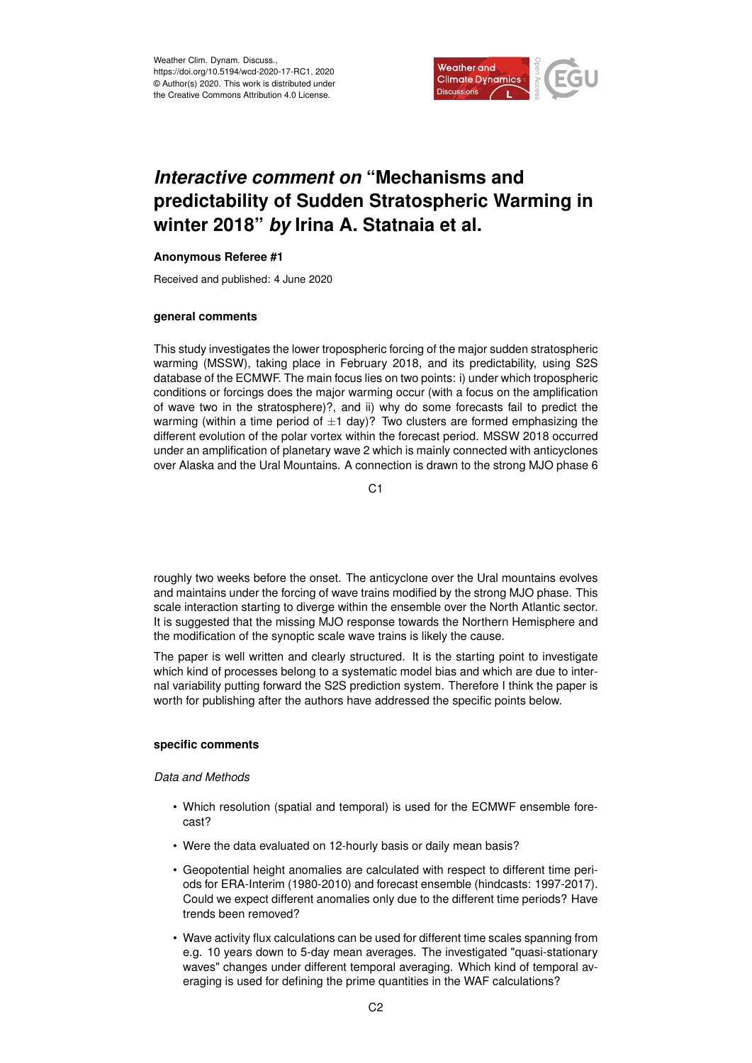

# *Interactive comment on* **"Mechanisms and predictability of Sudden Stratospheric Warming in winter 2018"** *by* **Irina A. Statnaia et al.**

## **Anonymous Referee #1**

Received and published: 4 June 2020

## **general comments**

This study investigates the lower tropospheric forcing of the major sudden stratospheric warming (MSSW), taking place in February 2018, and its predictability, using S2S database of the ECMWF. The main focus lies on two points: i) under which tropospheric conditions or forcings does the major warming occur (with a focus on the amplification of wave two in the stratosphere)?, and ii) why do some forecasts fail to predict the warming (within a time period of  $\pm 1$  day)? Two clusters are formed emphasizing the different evolution of the polar vortex within the forecast period. MSSW 2018 occurred under an amplification of planetary wave 2 which is mainly connected with anticyclones over Alaska and the Ural Mountains. A connection is drawn to the strong MJO phase 6

 $C<sub>1</sub>$ 

roughly two weeks before the onset. The anticyclone over the Ural mountains evolves and maintains under the forcing of wave trains modified by the strong MJO phase. This scale interaction starting to diverge within the ensemble over the North Atlantic sector. It is suggested that the missing MJO response towards the Northern Hemisphere and the modification of the synoptic scale wave trains is likely the cause.

The paper is well written and clearly structured. It is the starting point to investigate which kind of processes belong to a systematic model bias and which are due to internal variability putting forward the S2S prediction system. Therefore I think the paper is worth for publishing after the authors have addressed the specific points below.

## **specific comments**

## *Data and Methods*

- Which resolution (spatial and temporal) is used for the ECMWF ensemble forecast?
- Were the data evaluated on 12-hourly basis or daily mean basis?
- Geopotential height anomalies are calculated with respect to different time periods for ERA-Interim (1980-2010) and forecast ensemble (hindcasts: 1997-2017). Could we expect different anomalies only due to the different time periods? Have trends been removed?
- Wave activity flux calculations can be used for different time scales spanning from e.g. 10 years down to 5-day mean averages. The investigated "quasi-stationary waves" changes under different temporal averaging. Which kind of temporal averaging is used for defining the prime quantities in the WAF calculations?